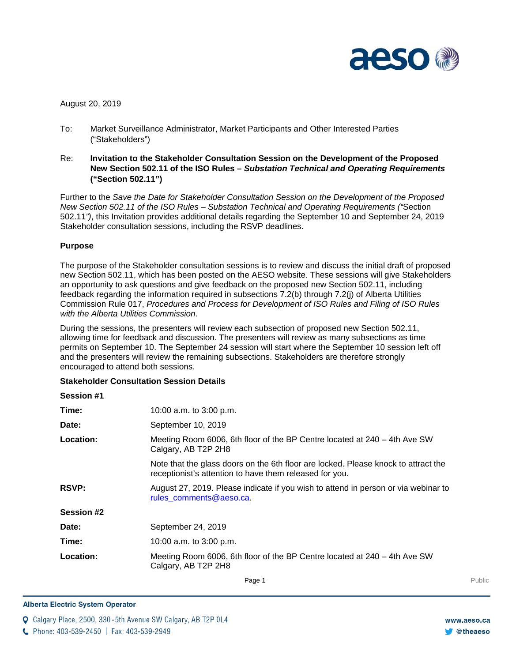

# August 20, 2019

- To: Market Surveillance Administrator, Market Participants and Other Interested Parties ("Stakeholders")
- Re: **Invitation to the Stakeholder Consultation Session on the Development of the Proposed New Section 502.11 of the ISO Rules –** *Substation Technical and Operating Requirements* **("Section 502.11")**

Further to the *Save the Date for Stakeholder Consultation Session on the Development of the Proposed New Section 502.11 of the ISO Rules – Substation Technical and Operating Requirements ("*Section 502.11*")*, this Invitation provides additional details regarding the September 10 and September 24, 2019 Stakeholder consultation sessions, including the RSVP deadlines.

# **Purpose**

The purpose of the Stakeholder consultation sessions is to review and discuss the initial draft of proposed new Section 502.11, which has been posted on the AESO website. These sessions will give Stakeholders an opportunity to ask questions and give feedback on the proposed new Section 502.11, including feedback regarding the information required in subsections 7.2(b) through 7.2(j) of Alberta Utilities Commission Rule 017, *Procedures and Process for Development of ISO Rules and Filing of ISO Rules with the Alberta Utilities Commission*.

During the sessions, the presenters will review each subsection of proposed new Section 502.11, allowing time for feedback and discussion. The presenters will review as many subsections as time permits on September 10. The September 24 session will start where the September 10 session left off and the presenters will review the remaining subsections. Stakeholders are therefore strongly encouraged to attend both sessions.

## **Stakeholder Consultation Session Details**

| 10:00 a.m. to 3:00 p.m.                                                                                                                       |
|-----------------------------------------------------------------------------------------------------------------------------------------------|
| September 10, 2019                                                                                                                            |
| Meeting Room 6006, 6th floor of the BP Centre located at $240 - 4$ th Ave SW<br>Calgary, AB T2P 2H8                                           |
| Note that the glass doors on the 6th floor are locked. Please knock to attract the<br>receptionist's attention to have them released for you. |
| August 27, 2019. Please indicate if you wish to attend in person or via webinar to<br>rules comments@aeso.ca.                                 |
|                                                                                                                                               |
| September 24, 2019                                                                                                                            |
| 10:00 a.m. to 3:00 p.m.                                                                                                                       |
| Meeting Room 6006, 6th floor of the BP Centre located at $240 - 4$ th Ave SW<br>Calgary, AB T2P 2H8                                           |
|                                                                                                                                               |

**Enter Football Page 1** Public Public Public Public Public Public Public Public Public Public Public Public Public Public Public Public Public Public Public Public Public Public Public Public Public Public Public Public Pu

#### **Alberta Electric System Operator**

Calgary Place, 2500, 330-5th Avenue SW Calgary, AB T2P 0L4

C. Phone: 403-539-2450 | Fax: 403-539-2949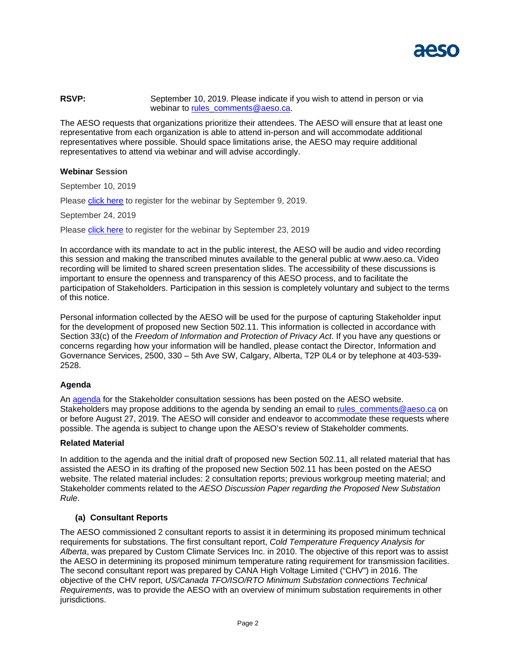

## **RSVP:** September 10, 2019. Please indicate if you wish to attend in person or via webinar to rules comments@aeso.ca.

The AESO requests that organizations prioritize their attendees. The AESO will ensure that at least one representative from each organization is able to attend in-person and will accommodate additional representatives where possible. Should space limitations arise, the AESO may require additional representatives to attend via webinar and will advise accordingly.

## **Webinar Session**

September 10, 2019

Please [click here](https://attendee.gotowebinar.com/register/9127415858566376204) to register for the webinar by September 9, 2019.

September 24, 2019

Please [click here](https://attendee.gotowebinar.com/register/3450187624103167500) to register for the webinar by September 23, 2019

In accordance with its mandate to act in the public interest, the AESO will be audio and video recording this session and making the transcribed minutes available to the general public at www.aeso.ca. Video recording will be limited to shared screen presentation slides. The accessibility of these discussions is important to ensure the openness and transparency of this AESO process, and to facilitate the participation of Stakeholders. Participation in this session is completely voluntary and subject to the terms of this notice.

Personal information collected by the AESO will be used for the purpose of capturing Stakeholder input for the development of proposed new Section 502.11. This information is collected in accordance with Section 33(c) of the *Freedom of Information and Protection of Privacy Act*. If you have any questions or concerns regarding how your information will be handled, please contact the Director, Information and Governance Services, 2500, 330 – 5th Ave SW, Calgary, Alberta, T2P 0L4 or by telephone at 403-539- 2528.

## **Agenda**

An [agenda](https://www.aeso.ca/assets/Uploads/Stakeholder-Session-Agenda.pdf) for the Stakeholder consultation sessions has been posted on the AESO website. Stakeholders may propose additions to the agenda by sending an email to [rules\\_comments@aeso.ca](mailto:rules_comments@aeso.ca) on or before August 27, 2019. The AESO will consider and endeavor to accommodate these requests where possible. The agenda is subject to change upon the AESO's review of Stakeholder comments.

#### **Related Material**

In addition to the agenda and the initial draft of proposed new Section 502.11, all related material that has assisted the AESO in its drafting of the proposed new Section 502.11 has been posted on the AESO website. The related material includes: 2 consultation reports; previous workgroup meeting material; and Stakeholder comments related to the *AESO Discussion Paper regarding the Proposed New Substation Rule*.

## **(a) Consultant Reports**

The AESO commissioned 2 consultant reports to assist it in determining its proposed minimum technical requirements for substations. The first consultant report, *Cold Temperature Frequency Analysis for Alberta*, was prepared by Custom Climate Services Inc. in 2010. The objective of this report was to assist the AESO in determining its proposed minimum temperature rating requirement for transmission facilities. The second consultant report was prepared by CANA High Voltage Limited ("CHV") in 2016. The objective of the CHV report, *US/Canada TFO/ISO/RTO Minimum Substation connections Technical Requirements*, was to provide the AESO with an overview of minimum substation requirements in other jurisdictions.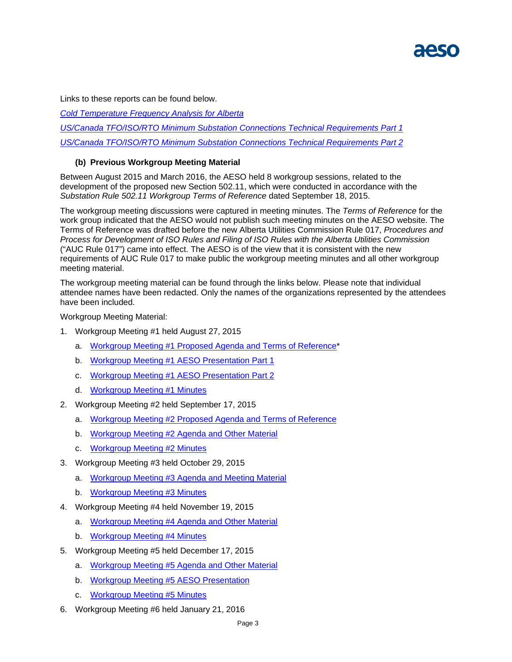

Links to these reports can be found below.

*[Cold Temperature Frequency Analysis for Alberta](https://www.aeso.ca/assets/Uploads/CCS-Cold-Temperature-Frequency-Analysis-for-Alberta.pdf)* 

*[US/Canada TFO/ISO/RTO Minimum Substation Connections Technical Requirements Part 1](https://www.aeso.ca/assets/Uploads/CHV-Minimum-Substation-Report1of3.pdf)*

*[US/Canada TFO/ISO/RTO Minimum Substation Connections Technical Requirements Part 2](https://www.aeso.ca/assets/Uploads/CHV-Minimum-Substation-Report2of2.pdf)*

# **(b) Previous Workgroup Meeting Material**

Between August 2015 and March 2016, the AESO held 8 workgroup sessions, related to the development of the proposed new Section 502.11, which were conducted in accordance with the *Substation Rule 502.11 Workgroup Terms of Reference* dated September 18, 2015.

The workgroup meeting discussions were captured in meeting minutes. The *Terms of Reference* for the work group indicated that the AESO would not publish such meeting minutes on the AESO website. The Terms of Reference was drafted before the new Alberta Utilities Commission Rule 017, *Procedures and Process for Development of ISO Rules and Filing of ISO Rules with the Alberta Utilities Commission*  ("AUC Rule 017") came into effect. The AESO is of the view that it is consistent with the new requirements of AUC Rule 017 to make public the workgroup meeting minutes and all other workgroup meeting material.

The workgroup meeting material can be found through the links below. Please note that individual attendee names have been redacted. Only the names of the organizations represented by the attendees have been included.

Workgroup Meeting Material:

- 1. Workgroup Meeting #1 held August 27, 2015
	- a. [Workgroup Meeting #1 Proposed Agenda](https://www.aeso.ca/assets/Uploads/502.11-WG-Meeting-1-Proposed-Agenda-and-TOR.pdf) and Terms of Reference\*
	- b. [Workgroup Meeting #1 AESO Presentation](https://www.aeso.ca/assets/Uploads/502.11-WG-Meeting-1-AESO-Presentation-Part-1.pdf) Part 1
	- c. [Workgroup Meeting #1 AESO Presentation Part 2](https://www.aeso.ca/assets/Uploads/502.11-WG-Meeting-1-AESO-Presentation-Part-2.pdf)
	- d. [Workgroup Meeting #1 Minutes](https://www.aeso.ca/assets/Uploads/502.11-WG-Meeting-1-Minutes.pdf)
- 2. Workgroup Meeting #2 held September 17, 2015
	- a. [Workgroup Meeting #2 Proposed Agenda](https://www.aeso.ca/assets/Uploads/502.11-WG-Meeting-2-Proposed-Agenda-and-TOR.pdf) and Terms of Reference
	- b. [Workgroup Meeting #2 Agenda and Other Material](https://www.aeso.ca/assets/Uploads/502.11-WG-Meeting-2-Agenda-and-Other-Material.pdf)
	- c. [Workgroup Meeting #2 Minutes](https://www.aeso.ca/assets/Uploads/502.11-WG-Meeting-2-Minutes.pdf)
- 3. Workgroup Meeting #3 held October 29, 2015
	- a. [Workgroup Meeting #3 Agenda and Meeting Material](https://www.aeso.ca/assets/Uploads/502.11-WG-Meeting-3-Agenda-and-Other-Material.pdf)
	- b. [Workgroup Meeting #3 Minutes](https://www.aeso.ca/assets/Uploads/502.11-WG-Meeting-3-Minutes.pdf)
- 4. Workgroup Meeting #4 held November 19, 2015
	- a. [Workgroup Meeting #4 Agenda](https://www.aeso.ca/assets/Uploads/502.11-WG-Meeting-4-Agenda-and-Other-Material.pdf) and Other Material
	- b. [Workgroup Meeting #4 Minutes](https://www.aeso.ca/assets/Uploads/502.11-WG-Meeting-4-Minutes.pdf)
- 5. Workgroup Meeting #5 held December 17, 2015
	- a. [Workgroup Meeting #5 Agenda](https://www.aeso.ca/assets/Uploads/503.11-WG-Meeting-5-Agenda-and-Other-Material.pdf) and Other Material
	- b. [Workgroup Meeting #5 AESO Presentation](https://www.aeso.ca/assets/Uploads/502.11-WG-Meeting-5-AESO-Presentation.pdf)
	- c. [Workgroup Meeting #5 Minutes](https://www.aeso.ca/assets/Uploads/502.11-WG-Meeting-5-Minutes.pdf)
- 6. Workgroup Meeting #6 held January 21, 2016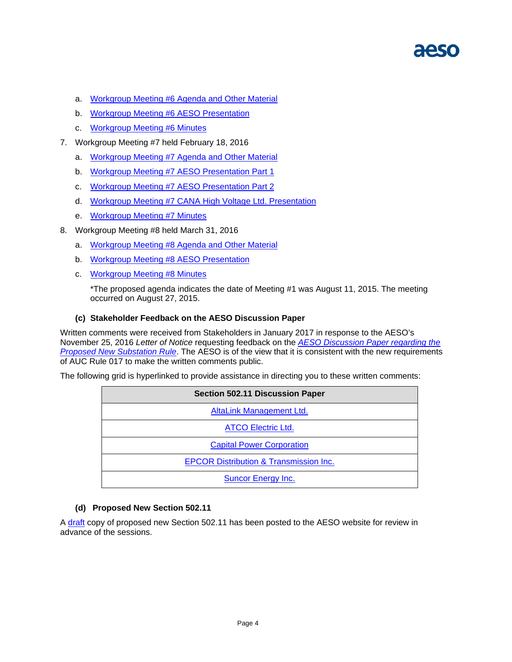- a. [Workgroup Meeting #6 Agenda](https://www.aeso.ca/assets/Uploads/502.11-WG-Meeting-6-Agenda-and-Other-Material.pdf) and Other Material
- b. [Workgroup Meeting #6 AESO Presentation](https://www.aeso.ca/assets/Uploads/502.11-WG-Meeting-6-AESO-Presentation.pdf)
- c. [Workgroup Meeting #6 Minutes](https://www.aeso.ca/assets/Uploads/502.11-WG-Meeting-6-Minutes.pdf)
- 7. Workgroup Meeting #7 held February 18, 2016
	- a. [Workgroup Meeting #7 Agenda and Other Material](https://www.aeso.ca/assets/Uploads/502.11-WG-Meeting-7-Agenda-and-Other-Material.pdf)
	- b. [Workgroup Meeting #7 AESO Presentation](https://www.aeso.ca/assets/Uploads/502.11-WG-Meeting-7-AESO-Presentation-Part-1.pdf) Part 1
	- c. [Workgroup Meeting #7 AESO Presentation Part 2](https://www.aeso.ca/assets/Uploads/502.11-WG-Meeting-7-AESO-Presentation-Part-2.pdf)
	- d. [Workgroup Meeting #7 CANA High Voltage Ltd. Presentation](https://www.aeso.ca/assets/Uploads/502.11-WG-Meeting-7-CANA-High-Voltage-Ltd-Presentation.pdf)
	- e. [Workgroup Meeting #7 Minutes](https://www.aeso.ca/assets/Uploads/502.11-WG-Meeting-7-Minutes.pdf)
- 8. Workgroup Meeting #8 held March 31, 2016
	- a. [Workgroup Meeting #8 Agenda and Other Material](https://www.aeso.ca/assets/Uploads/502.11-WG-Meeting-8-Agenda-and-Other-Material.pdf)
	- b. [Workgroup Meeting #8 AESO Presentation](https://www.aeso.ca/assets/Uploads/502.11-WG-Meeting-8-AESO-Presentation.pdf)
	- c. [Workgroup Meeting #8 Minutes](https://www.aeso.ca/assets/Uploads/502.11-WG-Meeting-8-Minutes.pdf)

\*The proposed agenda indicates the date of Meeting #1 was August 11, 2015. The meeting occurred on August 27, 2015.

## **(c) Stakeholder Feedback on the AESO Discussion Paper**

Written comments were received from Stakeholders in January 2017 in response to the AESO's November 25, 2016 *Letter of Notice* requesting feedback on the *[AESO Discussion Paper regarding the](https://www.aeso.ca/assets/Uploads/Substation-Rule-502.11-Discussion-Paper.pdf)  [Proposed New Substation Rule](https://www.aeso.ca/assets/Uploads/Substation-Rule-502.11-Discussion-Paper.pdf)*. The AESO is of the view that it is consistent with the new requirements of AUC Rule 017 to make the written comments public.

The following grid is hyperlinked to provide assistance in directing you to these written comments:

| <b>Section 502.11 Discussion Paper</b>            |
|---------------------------------------------------|
| <b>AltaLink Management Ltd.</b>                   |
| <b>ATCO Electric Ltd.</b>                         |
| <b>Capital Power Corporation</b>                  |
| <b>EPCOR Distribution &amp; Transmission Inc.</b> |
| <b>Suncor Energy Inc.</b>                         |

## **(d) Proposed New Section 502.11**

A [draft](https://www.aeso.ca/assets/Uploads/502.11-Substation-Technical-and-Operating-Requirements.pdf) copy of proposed new Section 502.11 has been posted to the AESO website for review in advance of the sessions.